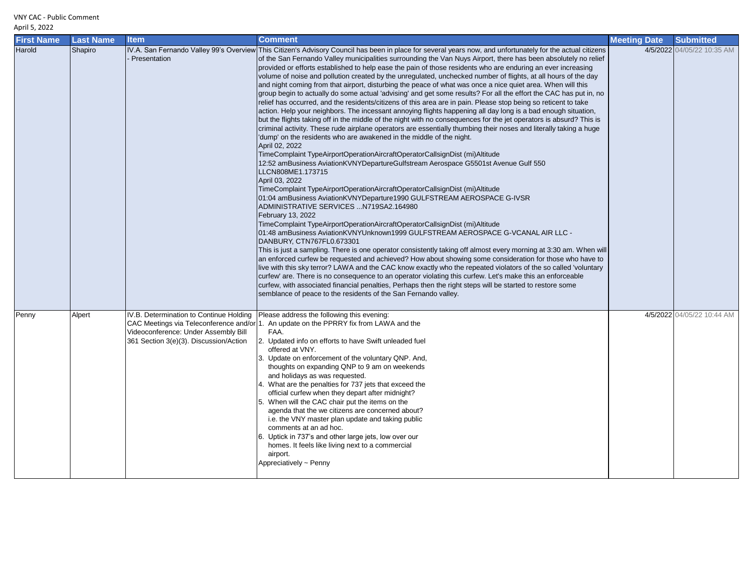## VNY CAC - Public Comment

## April 5, 2022

| <b>First Name</b> | <b>Last Name</b> | <b>Item</b>                                                                                                               | <b>Comment</b>                                                                                                                                                                                                                                                                                                                                                                                                                                                                                                                                                                                                                                                                                                                                                                                                                                                                                                                                                                                                                                                                                                                                                                                                                                                                                                                                                                                                                                                                                                                                                                                                                                                                                                                                                                                                                                                                                                                                                                                                                                                                                                                                                                                                                                                                                                                                                                                                                                                                                                                                                                                                     | <b>Meeting Date</b> | <b>Submitted</b>           |
|-------------------|------------------|---------------------------------------------------------------------------------------------------------------------------|--------------------------------------------------------------------------------------------------------------------------------------------------------------------------------------------------------------------------------------------------------------------------------------------------------------------------------------------------------------------------------------------------------------------------------------------------------------------------------------------------------------------------------------------------------------------------------------------------------------------------------------------------------------------------------------------------------------------------------------------------------------------------------------------------------------------------------------------------------------------------------------------------------------------------------------------------------------------------------------------------------------------------------------------------------------------------------------------------------------------------------------------------------------------------------------------------------------------------------------------------------------------------------------------------------------------------------------------------------------------------------------------------------------------------------------------------------------------------------------------------------------------------------------------------------------------------------------------------------------------------------------------------------------------------------------------------------------------------------------------------------------------------------------------------------------------------------------------------------------------------------------------------------------------------------------------------------------------------------------------------------------------------------------------------------------------------------------------------------------------------------------------------------------------------------------------------------------------------------------------------------------------------------------------------------------------------------------------------------------------------------------------------------------------------------------------------------------------------------------------------------------------------------------------------------------------------------------------------------------------|---------------------|----------------------------|
| Harold            | Shapiro          | Presentation                                                                                                              | IV.A. San Fernando Valley 99's Overview This Citizen's Advisory Council has been in place for several years now, and unfortunately for the actual citizens<br>of the San Fernando Valley municipalities surrounding the Van Nuys Airport, there has been absolutely no relief<br>provided or efforts established to help ease the pain of those residents who are enduring an ever increasing<br>volume of noise and pollution created by the unregulated, unchecked number of flights, at all hours of the day<br>and night coming from that airport, disturbing the peace of what was once a nice quiet area. When will this<br>group begin to actually do some actual 'advising' and get some results? For all the effort the CAC has put in, no<br>relief has occurred, and the residents/citizens of this area are in pain. Please stop being so reticent to take<br>action. Help your neighbors. The incessant annoying flights happening all day long is a bad enough situation,<br>but the flights taking off in the middle of the night with no consequences for the jet operators is absurd? This is<br>criminal activity. These rude airplane operators are essentially thumbing their noses and literally taking a huge<br>'dump' on the residents who are awakened in the middle of the night.<br>April 02, 2022<br>TimeComplaint TypeAirportOperationAircraftOperatorCallsignDist (mi)Altitude<br>12:52 amBusiness AviationKVNYDepartureGulfstream Aerospace G5501st Avenue Gulf 550<br>LLCN808ME1.173715<br>April 03, 2022<br>TimeComplaint TypeAirportOperationAircraftOperatorCallsignDist (mi)Altitude<br>01:04 amBusiness AviationKVNYDeparture1990 GULFSTREAM AEROSPACE G-IVSR<br>ADMINISTRATIVE SERVICES N719SA2.164980<br>February 13, 2022<br>TimeComplaint TypeAirportOperationAircraftOperatorCallsignDist (mi)Altitude<br>01:48 amBusiness AviationKVNYUnknown1999 GULFSTREAM AEROSPACE G-VCANAL AIR LLC -<br>DANBURY, CTN767FL0.673301<br>This is just a sampling. There is one operator consistently taking off almost every morning at 3:30 am. When will<br>an enforced curfew be requested and achieved? How about showing some consideration for those who have to<br>live with this sky terror? LAWA and the CAC know exactly who the repeated violators of the so called 'voluntary<br>curfew' are. There is no consequence to an operator violating this curfew. Let's make this an enforceable<br>curfew, with associated financial penalties, Perhaps then the right steps will be started to restore some<br>semblance of peace to the residents of the San Fernando valley. |                     | 4/5/2022 04/05/22 10:35 AM |
| Penny             | Alpert           | IV.B. Determination to Continue Holding<br>Videoconference: Under Assembly Bill<br>361 Section 3(e)(3). Discussion/Action | Please address the following this evening:<br>CAC Meetings via Teleconference and/or 1. An update on the PPRRY fix from LAWA and the<br>FAA.<br>2. Updated info on efforts to have Swift unleaded fuel<br>offered at VNY.<br>3. Update on enforcement of the voluntary QNP. And,<br>thoughts on expanding QNP to 9 am on weekends<br>and holidays as was requested.<br>4. What are the penalties for 737 jets that exceed the<br>official curfew when they depart after midnight?<br>5. When will the CAC chair put the items on the<br>agenda that the we citizens are concerned about?<br>i.e. the VNY master plan update and taking public<br>comments at an ad hoc.<br>6. Uptick in 737's and other large jets, low over our<br>homes. It feels like living next to a commercial<br>airport.<br>Appreciatively ~ Penny                                                                                                                                                                                                                                                                                                                                                                                                                                                                                                                                                                                                                                                                                                                                                                                                                                                                                                                                                                                                                                                                                                                                                                                                                                                                                                                                                                                                                                                                                                                                                                                                                                                                                                                                                                                         |                     | 4/5/2022 04/05/22 10:44 AM |